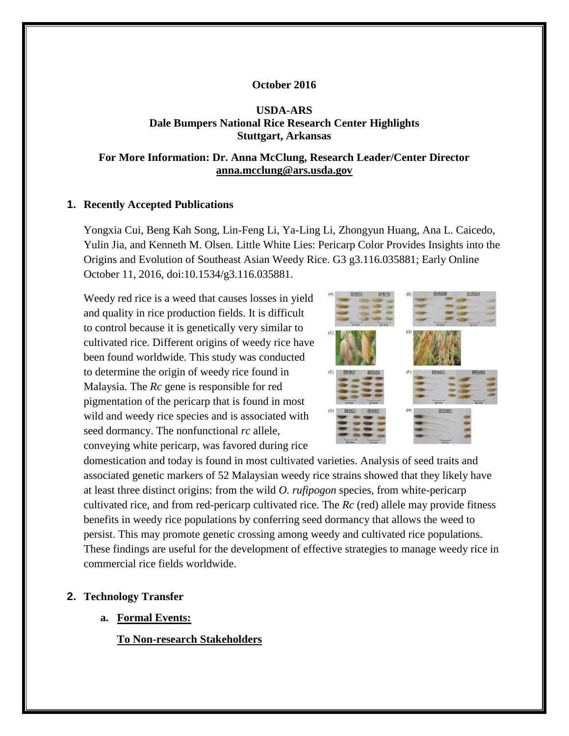### **October 2016**

## **USDA-ARS Dale Bumpers National Rice Research Center Highlights Stuttgart, Arkansas**

### **For More Information: Dr. Anna McClung, Research Leader/Center Director [anna.mcclung@ars.usda.gov](mailto:anna.mcclung@ars.usda.gov)**

### **1. Recently Accepted Publications**

Yongxia Cui, Beng Kah Song, Lin-Feng Li, Ya-Ling Li, Zhongyun Huang, Ana L. Caicedo, Yulin Jia, and Kenneth M. Olsen. Little White Lies: Pericarp Color Provides Insights into the Origins and Evolution of Southeast Asian Weedy Rice. G3 g3.116.035881; Early Online October 11, 2016, doi:10.1534/g3.116.035881.

Weedy red rice is a weed that causes losses in yield and quality in rice production fields. It is difficult to control because it is genetically very similar to cultivated rice. Different origins of weedy rice have been found worldwide. This study was conducted to determine the origin of weedy rice found in Malaysia. The *Rc* gene is responsible for red pigmentation of the pericarp that is found in most wild and weedy rice species and is associated with seed dormancy. The nonfunctional *rc* allele, conveying white pericarp, was favored during rice



domestication and today is found in most cultivated varieties. Analysis of seed traits and associated genetic markers of 52 Malaysian weedy rice strains showed that they likely have at least three distinct origins: from the wild *O. rufipogon* species, from white-pericarp cultivated rice, and from red-pericarp cultivated rice. The *Rc* (red) allele may provide fitness benefits in weedy rice populations by conferring seed dormancy that allows the weed to persist. This may promote genetic crossing among weedy and cultivated rice populations. These findings are useful for the development of effective strategies to manage weedy rice in commercial rice fields worldwide.

#### **2. Technology Transfer**

**a. Formal Events:**

**To Non-research Stakeholders**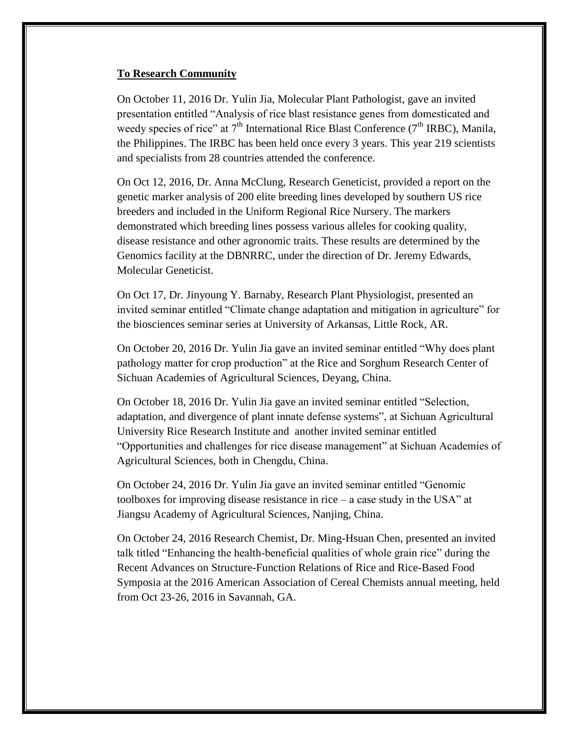#### **To Research Community**

On October 11, 2016 Dr. Yulin Jia, Molecular Plant Pathologist, gave an invited presentation entitled "Analysis of rice blast resistance genes from domesticated and weedy species of rice" at  $7<sup>th</sup>$  International Rice Blast Conference ( $7<sup>th</sup>$  IRBC), Manila, the Philippines. The IRBC has been held once every 3 years. This year 219 scientists and specialists from 28 countries attended the conference.

On Oct 12, 2016, Dr. Anna McClung, Research Geneticist, provided a report on the genetic marker analysis of 200 elite breeding lines developed by southern US rice breeders and included in the Uniform Regional Rice Nursery. The markers demonstrated which breeding lines possess various alleles for cooking quality, disease resistance and other agronomic traits. These results are determined by the Genomics facility at the DBNRRC, under the direction of Dr. Jeremy Edwards, Molecular Geneticist.

On Oct 17, Dr. Jinyoung Y. Barnaby, Research Plant Physiologist, presented an invited seminar entitled "Climate change adaptation and mitigation in agriculture" for the biosciences seminar series at University of Arkansas, Little Rock, AR.

On October 20, 2016 Dr. Yulin Jia gave an invited seminar entitled "Why does plant pathology matter for crop production" at the Rice and Sorghum Research Center of Sichuan Academies of Agricultural Sciences, Deyang, China.

On October 18, 2016 Dr. Yulin Jia gave an invited seminar entitled "Selection, adaptation, and divergence of plant innate defense systems", at Sichuan Agricultural University Rice Research Institute and another invited seminar entitled "Opportunities and challenges for rice disease management" at Sichuan Academies of Agricultural Sciences, both in Chengdu, China.

On October 24, 2016 Dr. Yulin Jia gave an invited seminar entitled "Genomic toolboxes for improving disease resistance in rice – a case study in the USA" at Jiangsu Academy of Agricultural Sciences, Nanjing, China.

On October 24, 2016 Research Chemist, Dr. Ming-Hsuan Chen, presented an invited talk titled "Enhancing the health-beneficial qualities of whole grain rice" during the Recent Advances on Structure-Function Relations of Rice and Rice-Based Food Symposia at the 2016 American Association of Cereal Chemists annual meeting, held from Oct 23-26, 2016 in Savannah, GA.